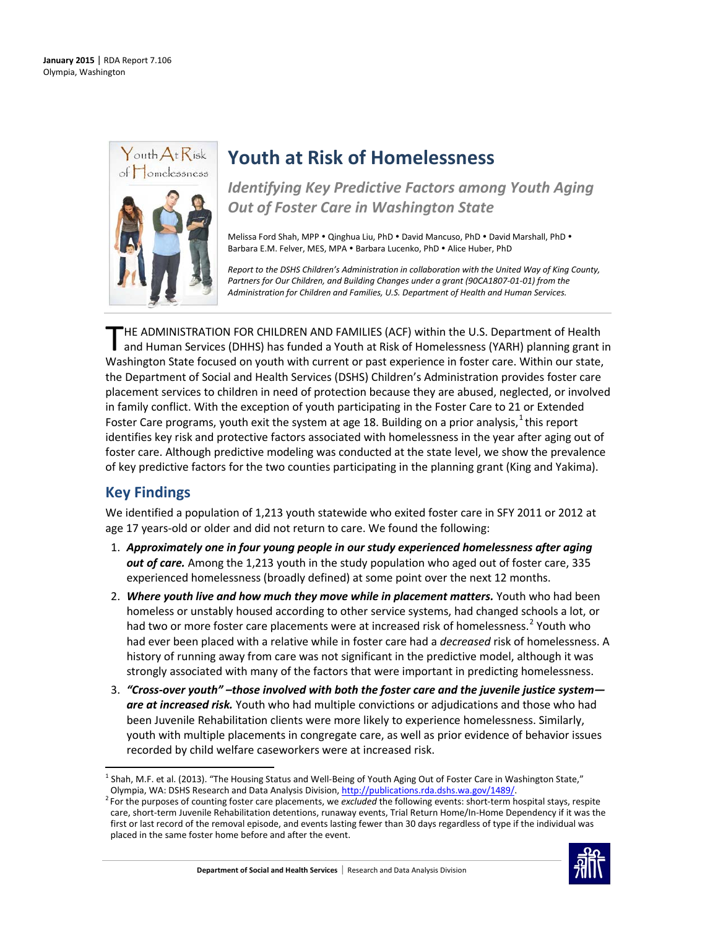

# **Youth at Risk of Homelessness**

*Identifying Key Predictive Factors among Youth Aging Out of Foster Care in Washington State*

Melissa Ford Shah, MPP . Qinghua Liu, PhD . David Mancuso, PhD . David Marshall, PhD . Barbara E.M. Felver, MES. MPA . Barbara Lucenko, PhD . Alice Huber, PhD

*Report to the DSHS Children's Administration in collaboration with the United Way of King County, Partners for Our Children, and Building Changes under a grant (90CA1807-01-01) from the Administration for Children and Families, U.S. Department of Health and Human Services.*

HE ADMINISTRATION FOR CHILDREN AND FAMILIES (ACF) within the U.S. Department of Health and Human Services (DHHS) has funded a Youth at Risk of Homelessness (YARH) planning grant in THE ADMINISTRATION FOR CHILDREN AND FAMILIES (ACF) within the U.S. Department of Health<br>and Human Services (DHHS) has funded a Youth at Risk of Homelessness (YARH) planning grant in<br>Washington State focused on youth with c the Department of Social and Health Services (DSHS) Children's Administration provides foster care placement services to children in need of protection because they are abused, neglected, or involved in family conflict. With the exception of youth participating in the Foster Care to 21 or Extended Foster Care programs, youth exit the system at age [1](#page-0-0)8. Building on a prior analysis, <sup>1</sup> this report identifies key risk and protective factors associated with homelessness in the year after aging out of foster care. Although predictive modeling was conducted at the state level, we show the prevalence of key predictive factors for the two counties participating in the planning grant (King and Yakima).

# **Key Findings**

We identified a population of 1,213 youth statewide who exited foster care in SFY 2011 or 2012 at age 17 years-old or older and did not return to care. We found the following:

- 1. *Approximately one in four young people in our study experienced homelessness after aging out of care.* Among the 1,213 youth in the study population who aged out of foster care, 335 experienced homelessness (broadly defined) at some point over the next 12 months.
- 2. *Where youth live and how much they move while in placement matters.* Youth who had been homeless or unstably housed according to other service systems, had changed schools a lot, or had two or more foster care placements were at increased risk of homelessness.<sup>[2](#page-0-1)</sup> Youth who had ever been placed with a relative while in foster care had a *decreased* risk of homelessness. A history of running away from care was not significant in the predictive model, although it was strongly associated with many of the factors that were important in predicting homelessness.
- 3. *"Cross-over youth" –those involved with both the foster care and the juvenile justice system are at increased risk.* Youth who had multiple convictions or adjudications and those who had been Juvenile Rehabilitation clients were more likely to experience homelessness. Similarly, youth with multiple placements in congregate care, as well as prior evidence of behavior issues recorded by child welfare caseworkers were at increased risk.

<span id="page-0-1"></span>For the purposes of counting foster care placements, we *excluded* the following events: short-term hospital stays, respite care, short-term Juvenile Rehabilitation detentions, runaway events, Trial Return Home/In-Home Dependency if it was the first or last record of the removal episode, and events lasting fewer than 30 days regardless of type if the individual was placed in the same foster home before and after the event.



<span id="page-0-0"></span> $1$  Shah, M.F. et al. (2013). "The Housing Status and Well-Being of Youth Aging Out of Foster Care in Washington State," Olympia, WA: DSHS Research and Data Analysis Division[, http://publications.rda.dshs.wa.gov/1489/.](http://publications.rda.dshs.wa.gov/1489/) <sup>2</sup>  $\overline{\phantom{a}}$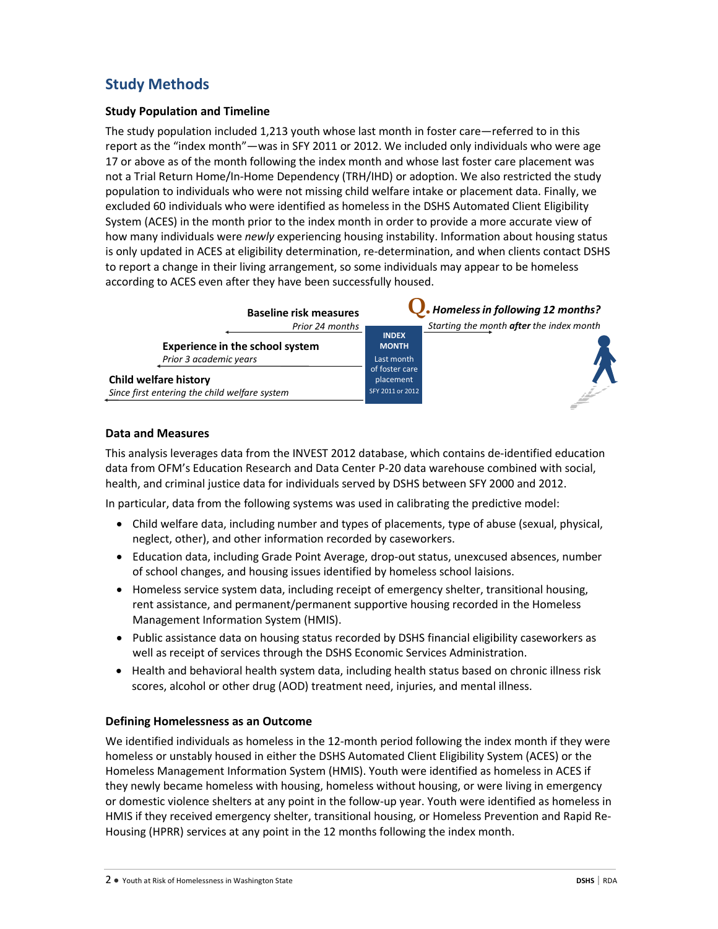# **Study Methods**

### **Study Population and Timeline**

The study population included 1,213 youth whose last month in foster care—referred to in this report as the "index month"—was in SFY 2011 or 2012. We included only individuals who were age 17 or above as of the month following the index month and whose last foster care placement was not a Trial Return Home/In-Home Dependency (TRH/IHD) or adoption. We also restricted the study population to individuals who were not missing child welfare intake or placement data. Finally, we excluded 60 individuals who were identified as homeless in the DSHS Automated Client Eligibility System (ACES) in the month prior to the index month in order to provide a more accurate view of how many individuals were *newly* experiencing housing instability. Information about housing status is only updated in ACES at eligibility determination, re-determination, and when clients contact DSHS to report a change in their living arrangement, so some individuals may appear to be homeless according to ACES even after they have been successfully housed.

| <b>Baseline risk measures</b>                 |                              | Homeless in following 12 months?         |
|-----------------------------------------------|------------------------------|------------------------------------------|
| Prior 24 months                               |                              | Starting the month after the index month |
| <b>Experience in the school system</b>        | <b>INDEX</b><br><b>MONTH</b> |                                          |
| Prior 3 academic years                        | Last month                   |                                          |
|                                               | of foster care               |                                          |
| <b>Child welfare history</b>                  | placement                    |                                          |
| Since first entering the child welfare system | SFY 2011 or 2012             |                                          |

### **Data and Measures**

This analysis leverages data from the INVEST 2012 database, which contains de-identified education data from OFM's Education Research and Data Center P-20 data warehouse combined with social, health, and criminal justice data for individuals served by DSHS between SFY 2000 and 2012.

In particular, data from the following systems was used in calibrating the predictive model:

- Child welfare data, including number and types of placements, type of abuse (sexual, physical, neglect, other), and other information recorded by caseworkers.
- Education data, including Grade Point Average, drop-out status, unexcused absences, number of school changes, and housing issues identified by homeless school laisions.
- Homeless service system data, including receipt of emergency shelter, transitional housing, rent assistance, and permanent/permanent supportive housing recorded in the Homeless Management Information System (HMIS).
- Public assistance data on housing status recorded by DSHS financial eligibility caseworkers as well as receipt of services through the DSHS Economic Services Administration.
- Health and behavioral health system data, including health status based on chronic illness risk scores, alcohol or other drug (AOD) treatment need, injuries, and mental illness.

### **Defining Homelessness as an Outcome**

We identified individuals as homeless in the 12-month period following the index month if they were homeless or unstably housed in either the DSHS Automated Client Eligibility System (ACES) or the Homeless Management Information System (HMIS). Youth were identified as homeless in ACES if they newly became homeless with housing, homeless without housing, or were living in emergency or domestic violence shelters at any point in the follow-up year. Youth were identified as homeless in HMIS if they received emergency shelter, transitional housing, or Homeless Prevention and Rapid Re-Housing (HPRR) services at any point in the 12 months following the index month.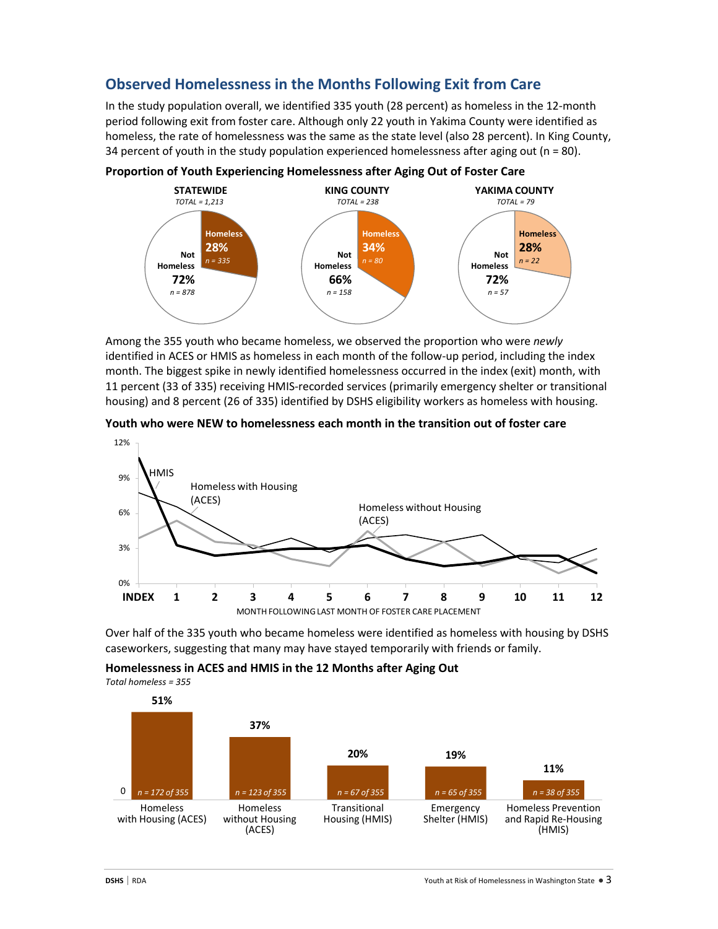## **Observed Homelessness in the Months Following Exit from Care**

In the study population overall, we identified 335 youth (28 percent) as homeless in the 12-month period following exit from foster care. Although only 22 youth in Yakima County were identified as homeless, the rate of homelessness was the same as the state level (also 28 percent). In King County, 34 percent of youth in the study population experienced homelessness after aging out ( $n = 80$ ).



Among the 355 youth who became homeless, we observed the proportion who were *newly* identified in ACES or HMIS as homeless in each month of the follow-up period, including the index month. The biggest spike in newly identified homelessness occurred in the index (exit) month, with 11 percent (33 of 335) receiving HMIS-recorded services (primarily emergency shelter or transitional housing) and 8 percent (26 of 335) identified by DSHS eligibility workers as homeless with housing.



**Youth who were NEW to homelessness each month in the transition out of foster care**

Over half of the 335 youth who became homeless were identified as homeless with housing by DSHS caseworkers, suggesting that many may have stayed temporarily with friends or family.

**Homelessness in ACES and HMIS in the 12 Months after Aging Out**

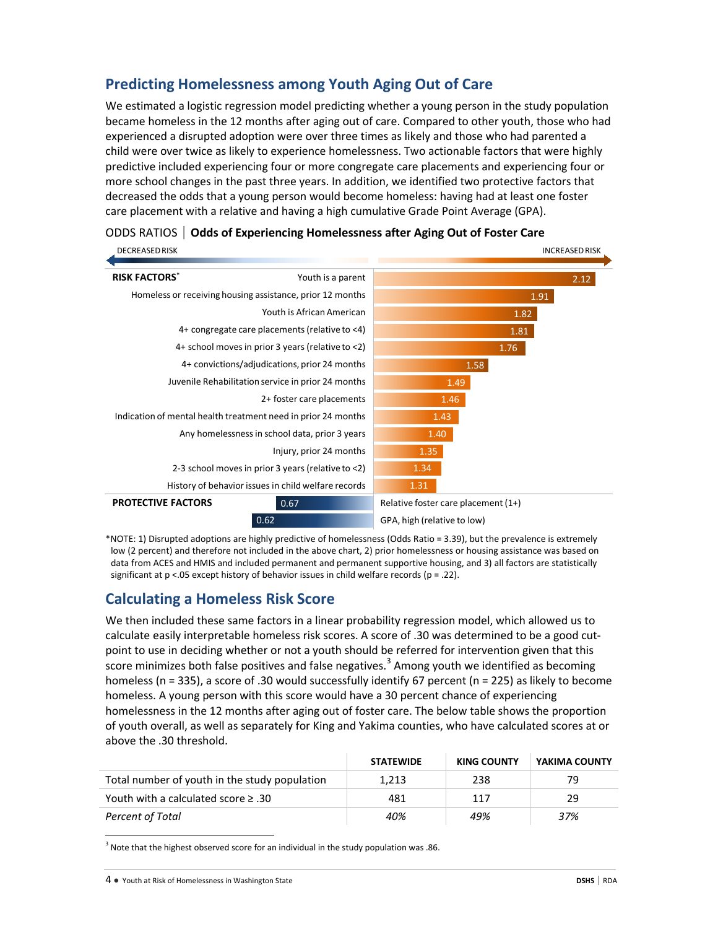## **Predicting Homelessness among Youth Aging Out of Care**

We estimated a logistic regression model predicting whether a young person in the study population became homeless in the 12 months after aging out of care. Compared to other youth, those who had experienced a disrupted adoption were over three times as likely and those who had parented a child were over twice as likely to experience homelessness. Two actionable factors that were highly predictive included experiencing four or more congregate care placements and experiencing four or more school changes in the past three years. In addition, we identified two protective factors that decreased the odds that a young person would become homeless: having had at least one foster care placement with a relative and having a high cumulative Grade Point Average (GPA).

| <b>DECREASED RISK</b>                                         |                                                           |                                     | <b>INCREASED RISK</b> |
|---------------------------------------------------------------|-----------------------------------------------------------|-------------------------------------|-----------------------|
| <b>RISK FACTORS*</b>                                          | Youth is a parent                                         |                                     | 2.12                  |
|                                                               | Homeless or receiving housing assistance, prior 12 months |                                     | 1.91                  |
|                                                               | Youth is African American                                 |                                     | 1.82                  |
|                                                               | 4+ congregate care placements (relative to <4)            |                                     | 1.81                  |
|                                                               | 4+ school moves in prior 3 years (relative to <2)         |                                     | 1.76                  |
|                                                               | 4+ convictions/adjudications, prior 24 months             |                                     | 1.58                  |
|                                                               | Juvenile Rehabilitation service in prior 24 months        | 1.49                                |                       |
|                                                               | 2+ foster care placements                                 | 1.46                                |                       |
| Indication of mental health treatment need in prior 24 months |                                                           | 1.43                                |                       |
|                                                               | Any homelessness in school data, prior 3 years            | 1.40                                |                       |
|                                                               | Injury, prior 24 months                                   | 1.35                                |                       |
|                                                               | 2-3 school moves in prior 3 years (relative to <2)        | 1.34                                |                       |
|                                                               | History of behavior issues in child welfare records       | 1.31                                |                       |
| <b>PROTECTIVE FACTORS</b>                                     | 0.67                                                      | Relative foster care placement (1+) |                       |
|                                                               | 0.62                                                      | GPA, high (relative to low)         |                       |

|  | ODDS RATIOS   Odds of Experiencing Homelessness after Aging Out of Foster Care |
|--|--------------------------------------------------------------------------------|
|--|--------------------------------------------------------------------------------|

\*NOTE: 1) Disrupted adoptions are highly predictive of homelessness (Odds Ratio = 3.39), but the prevalence is extremely low (2 percent) and therefore not included in the above chart, 2) prior homelessness or housing assistance was based on data from ACES and HMIS and included permanent and permanent supportive housing, and 3) all factors are statistically significant at  $p < 05$  except history of behavior issues in child welfare records ( $p = 0.22$ ).

## **Calculating a Homeless Risk Score**

We then included these same factors in a linear probability regression model, which allowed us to calculate easily interpretable homeless risk scores. A score of .30 was determined to be a good cutpoint to use in deciding whether or not a youth should be referred for intervention given that this score minimizes both false positives and false negatives.<sup>[3](#page-3-0)</sup> Among youth we identified as becoming homeless (n = 335), a score of .30 would successfully identify 67 percent (n = 225) as likely to become homeless. A young person with this score would have a 30 percent chance of experiencing homelessness in the 12 months after aging out of foster care. The below table shows the proportion of youth overall, as well as separately for King and Yakima counties, who have calculated scores at or above the .30 threshold.

|                                               | <b>STATEWIDE</b> | <b>KING COUNTY</b> | YAKIMA COUNTY |
|-----------------------------------------------|------------------|--------------------|---------------|
| Total number of youth in the study population | 1.213            | 238                | 79            |
| Youth with a calculated score $\geq$ .30      | 481              | 117                | 29            |
| Percent of Total                              | 40%              | 49%                | 37%           |

<span id="page-3-0"></span> $3$  Note that the highest observed score for an individual in the study population was .86.

l

<sup>4</sup> ● Youth at Risk of Homelessness in Washington State **DSHS** | RDA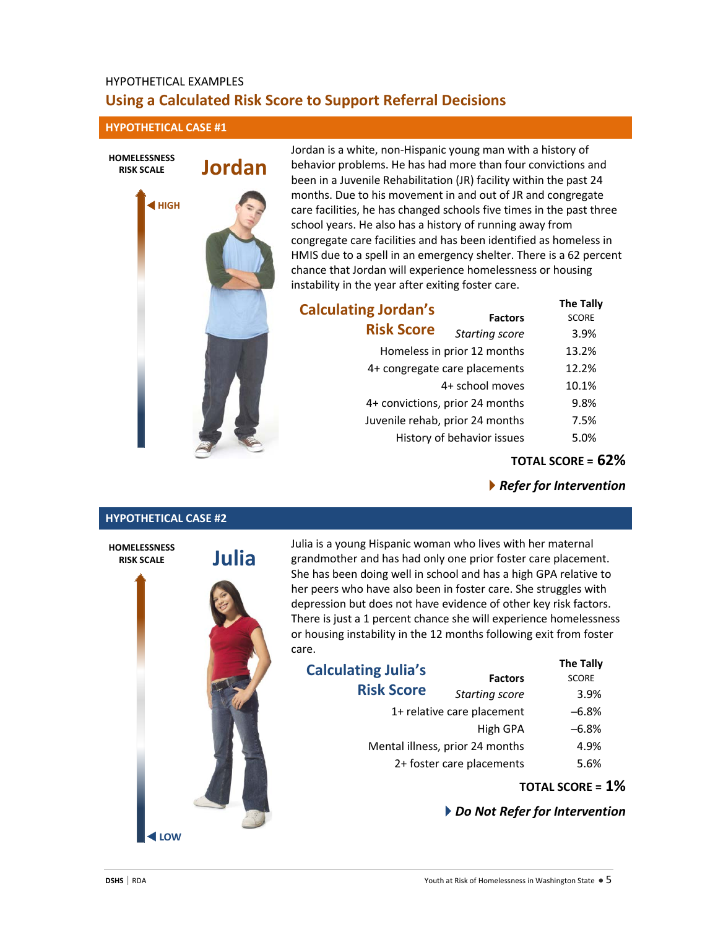## HYPOTHETICAL EXAMPLES **Using a Calculated Risk Score to Support Referral Decisions**

**HYPOTHETICAL CASE #1**

**HIGH**

**HOMELESSNESS RISK SCALE**

# **Jordan** Jordan is a white, non-Hispanic young man with a history of behavior problems. He has had more than four convictions and been in a Juvenile Rehabilitation (JR) facility within the past 24 months. Due to his movement in and out of JR and congregate care facilities, he has changed schools five times in the past three school years. He also has a history of running away from congregate care facilities and has been identified as homeless in HMIS due to a spell in an emergency shelter. There is a 62 percent chance that Jordan will experience homelessness or housing instability in the year after exiting foster care. **Calculating Jordan's Risk Score**

**The Tally Factors** *Starting score* 3.9% Homeless in prior 12 months 13.2% 4+ congregate care placements 12.2% 4+ school moves 10.1% 4+ convictions, prior 24 months 9.8% Juvenile rehab, prior 24 months 7.5% History of behavior issues 5.0%

**TOTAL SCORE = 62%**

*Refer for Intervention*

## **HYPOTHETICAL CASE #2**



Julia is a young Hispanic woman who lives with her maternal grandmother and has had only one prior foster care placement. She has been doing well in school and has a high GPA relative to her peers who have also been in foster care. She struggles with depression but does not have evidence of other key risk factors. There is just a 1 percent chance she will experience homelessness or housing instability in the 12 months following exit from foster care.

|                            | <b>The Tally</b>                                             |  |
|----------------------------|--------------------------------------------------------------|--|
| <b>Factors</b>             | <b>SCORE</b>                                                 |  |
| <b>Starting score</b>      | 3.9%                                                         |  |
| 1+ relative care placement |                                                              |  |
| High GPA                   | $-6.8%$                                                      |  |
|                            | 4.9%                                                         |  |
|                            | 5.6%                                                         |  |
|                            | Mental illness, prior 24 months<br>2+ foster care placements |  |

**TOTAL SCORE = 1%**

### *Do Not Refer for Intervention*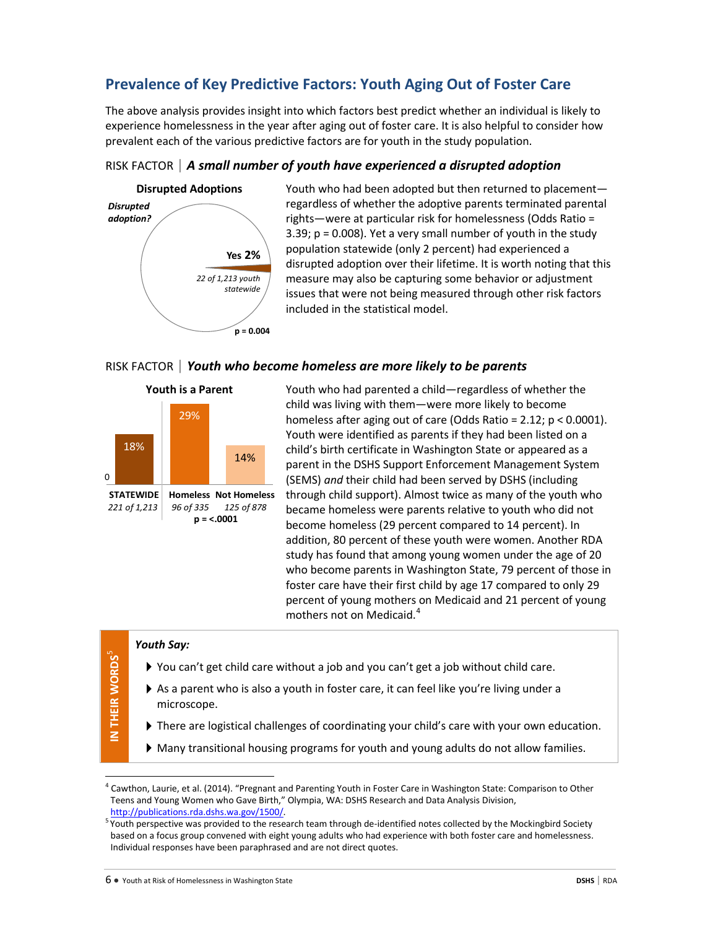## **Prevalence of Key Predictive Factors: Youth Aging Out of Foster Care**

The above analysis provides insight into which factors best predict whether an individual is likely to experience homelessness in the year after aging out of foster care. It is also helpful to consider how prevalent each of the various predictive factors are for youth in the study population.

## RISK FACTOR | *A small number of youth have experienced a disrupted adoption*



Youth who had been adopted but then returned to placement regardless of whether the adoptive parents terminated parental rights—were at particular risk for homelessness (Odds Ratio = 3.39;  $p = 0.008$ ). Yet a very small number of youth in the study population statewide (only 2 percent) had experienced a disrupted adoption over their lifetime. It is worth noting that this measure may also be capturing some behavior or adjustment issues that were not being measured through other risk factors included in the statistical model.

### RISK FACTOR | *Youth who become homeless are more likely to be parents*





Youth who had parented a child—regardless of whether the child was living with them—were more likely to become homeless after aging out of care (Odds Ratio = 2.12; p < 0.0001). Youth were identified as parents if they had been listed on a child's birth certificate in Washington State or appeared as a parent in the DSHS Support Enforcement Management System (SEMS) *and* their child had been served by DSHS (including through child support). Almost twice as many of the youth who became homeless were parents relative to youth who did not become homeless (29 percent compared to 14 percent). In addition, 80 percent of these youth were women. Another RDA study has found that among young women under the age of 20 who become parents in Washington State, 79 percent of those in foster care have their first child by age 17 compared to only 29 percent of young mothers on Medicaid and 21 percent of young mothers not on Medicaid. [4](#page-5-0)

### *Youth Say:*

- You can't get child care without a job and you can't get a job without child care.
- As a parent who is also a youth in foster care, it can feel like you're living under a microscope.
- There are logistical challenges of coordinating your child's care with your own education.
- Many transitional housing programs for youth and young adults do not allow families.

 $\overline{\phantom{a}}$ 

<span id="page-5-0"></span> $^4$  Cawthon, Laurie, et al. (2014). "Pregnant and Parenting Youth in Foster Care in Washington State: Comparison to Other Teens and Young Women who Gave Birth," Olympia, WA: DSHS Research and Data Analysis Division, http://publications.rda.dshs.wa.gov/1500/.

<span id="page-5-1"></span><sup>&</sup>lt;sup>5</sup> Youth perspective was provided to the research team through de-identified notes collected by the Mockingbird Society based on a focus group convened with eight young adults who had experience with both foster care and homelessness. Individual responses have been paraphrased and are not direct quotes.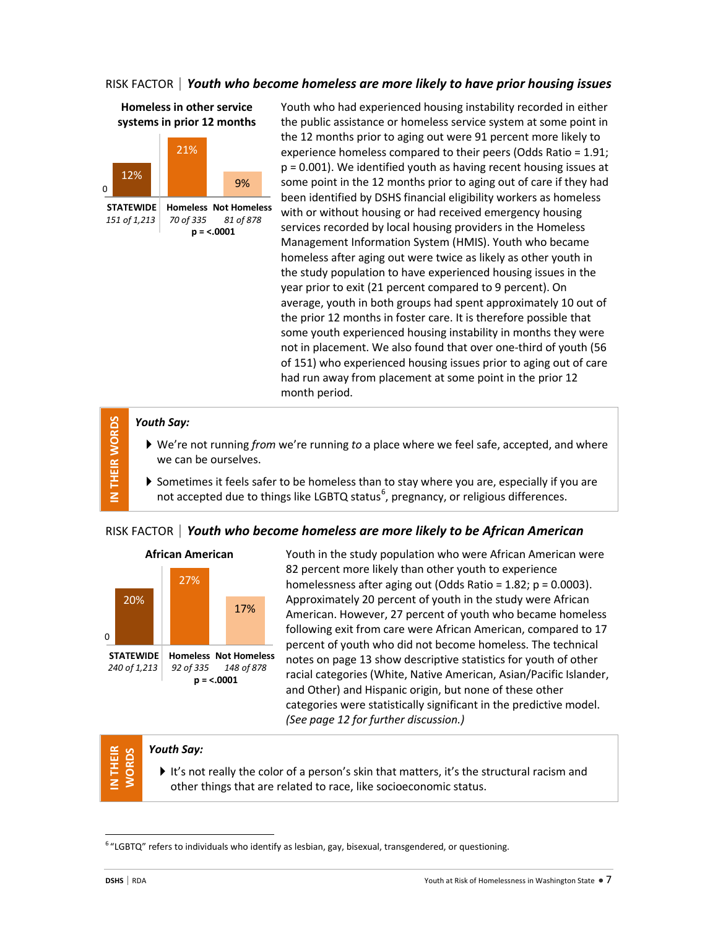## RISK FACTOR | *Youth who become homeless are more likely to have prior housing issues*

## **Homeless in other service systems in prior 12 months**



Youth who had experienced housing instability recorded in either the public assistance or homeless service system at some point in the 12 months prior to aging out were 91 percent more likely to experience homeless compared to their peers (Odds Ratio = 1.91; p = 0.001). We identified youth as having recent housing issues at some point in the 12 months prior to aging out of care if they had been identified by DSHS financial eligibility workers as homeless with or without housing or had received emergency housing services recorded by local housing providers in the Homeless Management Information System (HMIS). Youth who became homeless after aging out were twice as likely as other youth in the study population to have experienced housing issues in the year prior to exit (21 percent compared to 9 percent). On average, youth in both groups had spent approximately 10 out of the prior 12 months in foster care. It is therefore possible that some youth experienced housing instability in months they were not in placement. We also found that over one-third of youth (56 of 151) who experienced housing issues prior to aging out of care had run away from placement at some point in the prior 12 month period.

## *Youth Say:*

**IN THEIR WORDS**

IN THEIR WORDS

- We're not running *from* we're running *to* a place where we feel safe, accepted, and where we can be ourselves.
- $\blacktriangleright$  Sometimes it feels safer to be homeless than to stay where you are, especially if you are not accepted due to things like LGBTQ status $^6$  $^6$ , pregnancy, or religious differences.

## RISK FACTOR | *Youth who become homeless are more likely to be African American*



Youth in the study population who were African American were 82 percent more likely than other youth to experience homelessness after aging out (Odds Ratio =  $1.82$ ; p =  $0.0003$ ). Approximately 20 percent of youth in the study were African American. However, 27 percent of youth who became homeless following exit from care were African American, compared to 17 percent of youth who did not become homeless. The technical notes on page 13 show descriptive statistics for youth of other racial categories (White, Native American, Asian/Pacific Islander, and Other) and Hispanic origin, but none of these other categories were statistically significant in the predictive model. *(See page 12 for further discussion.)*

## *Youth Say:*

It's not really the color of a person's skin that matters, it's the structural racism and other things that are related to race, like socioeconomic status.

**IN THEIR WORDS**

E

 $\overline{\phantom{a}}$ 

<span id="page-6-0"></span> $6$  "LGBTQ" refers to individuals who identify as lesbian, gay, bisexual, transgendered, or questioning.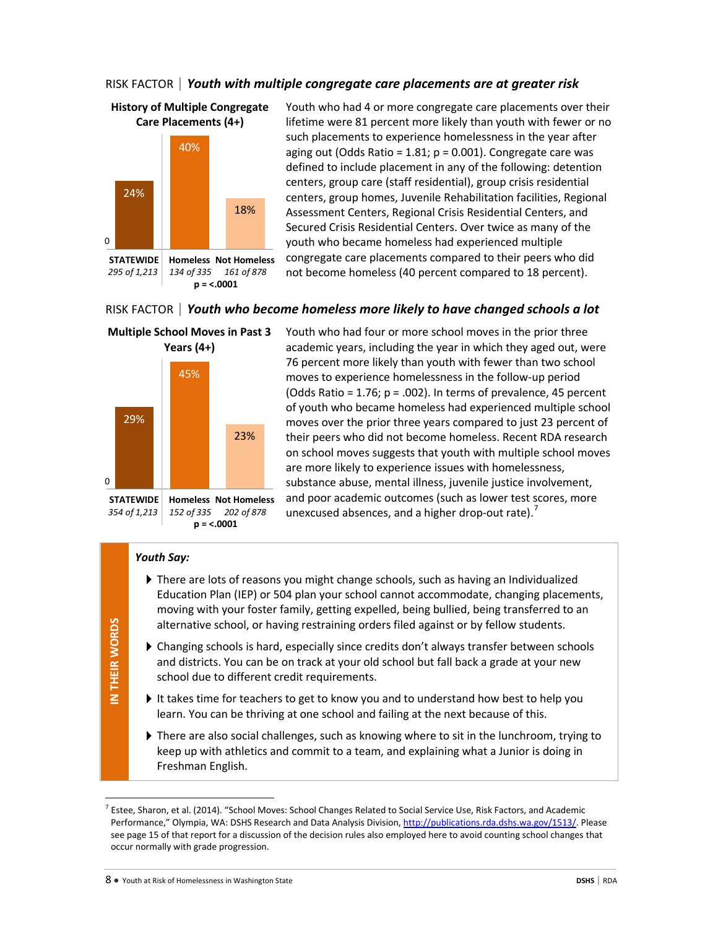## RISK FACTOR | *Youth with multiple congregate care placements are at greater risk*



**p = <.0001**

Youth who had 4 or more congregate care placements over their lifetime were 81 percent more likely than youth with fewer or no such placements to experience homelessness in the year after aging out (Odds Ratio =  $1.81$ ;  $p = 0.001$ ). Congregate care was defined to include placement in any of the following: detention centers, group care (staff residential), group crisis residential centers, group homes, Juvenile Rehabilitation facilities, Regional Assessment Centers, Regional Crisis Residential Centers, and Secured Crisis Residential Centers. Over twice as many of the youth who became homeless had experienced multiple congregate care placements compared to their peers who did not become homeless (40 percent compared to 18 percent).

### RISK FACTOR | *Youth who become homeless more likely to have changed schools a lot*



Youth who had four or more school moves in the prior three academic years, including the year in which they aged out, were 76 percent more likely than youth with fewer than two school moves to experience homelessness in the follow-up period (Odds Ratio =  $1.76$ ;  $p = .002$ ). In terms of prevalence, 45 percent of youth who became homeless had experienced multiple school moves over the prior three years compared to just 23 percent of their peers who did not become homeless. Recent RDA research on school moves suggests that youth with multiple school moves are more likely to experience issues with homelessness, substance abuse, mental illness, juvenile justice involvement, and poor academic outcomes (such as lower test scores, more unexcused absences, and a higher drop-out rate).<sup>[7](#page-7-0)</sup>

### *Youth Say:*

- There are lots of reasons you might change schools, such as having an Individualized Education Plan (IEP) or 504 plan your school cannot accommodate, changing placements, moving with your foster family, getting expelled, being bullied, being transferred to an alternative school, or having restraining orders filed against or by fellow students.
- Changing schools is hard, especially since credits don't always transfer between schools and districts. You can be on track at your old school but fall back a grade at your new school due to different credit requirements.
- It takes time for teachers to get to know you and to understand how best to help you learn. You can be thriving at one school and failing at the next because of this.
- There are also social challenges, such as knowing where to sit in the lunchroom, trying to keep up with athletics and commit to a team, and explaining what a Junior is doing in Freshman English.

l

<span id="page-7-0"></span> $^7$  Estee, Sharon, et al. (2014). "School Moves: School Changes Related to Social Service Use, Risk Factors, and Academic Performance," Olympia, WA: DSHS Research and Data Analysis Division[, http://publications.rda.dshs.wa.gov/1513/.](http://publications.rda.dshs.wa.gov/1513/) Please see page 15 of that report for a discussion of the decision rules also employed here to avoid counting school changes that occur normally with grade progression.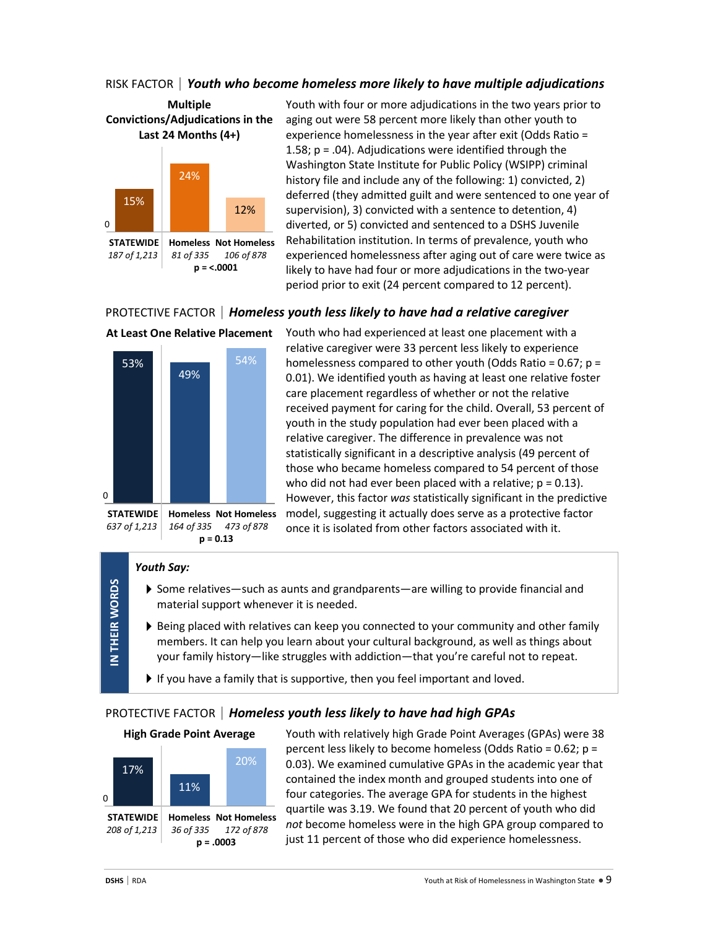## RISK FACTOR | *Youth who become homeless more likely to have multiple adjudications*



Youth with four or more adjudications in the two years prior to aging out were 58 percent more likely than other youth to experience homelessness in the year after exit (Odds Ratio = 1.58;  $p = .04$ ). Adjudications were identified through the Washington State Institute for Public Policy (WSIPP) criminal history file and include any of the following: 1) convicted, 2) deferred (they admitted guilt and were sentenced to one year of supervision), 3) convicted with a sentence to detention, 4) diverted, or 5) convicted and sentenced to a DSHS Juvenile Rehabilitation institution. In terms of prevalence, youth who experienced homelessness after aging out of care were twice as likely to have had four or more adjudications in the two-year period prior to exit (24 percent compared to 12 percent).

## PROTECTIVE FACTOR | *Homeless youth less likely to have had a relative caregiver*



Youth who had experienced at least one placement with a relative caregiver were 33 percent less likely to experience homelessness compared to other youth (Odds Ratio = 0.67; p = 0.01). We identified youth as having at least one relative foster care placement regardless of whether or not the relative received payment for caring for the child. Overall, 53 percent of youth in the study population had ever been placed with a relative caregiver. The difference in prevalence was not statistically significant in a descriptive analysis (49 percent of those who became homeless compared to 54 percent of those who did not had ever been placed with a relative;  $p = 0.13$ ). However, this factor *was* statistically significant in the predictive model, suggesting it actually does serve as a protective factor once it is isolated from other factors associated with it.

### *Youth Say:*

**IN THEIR WORDS**

IN THEIR WORDS

- Some relatives—such as aunts and grandparents—are willing to provide financial and material support whenever it is needed.
- Being placed with relatives can keep you connected to your community and other family members. It can help you learn about your cultural background, as well as things about your family history—like struggles with addiction—that you're careful not to repeat.
- If you have a family that is supportive, then you feel important and loved.

## PROTECTIVE FACTOR | *Homeless youth less likely to have had high GPAs*

### **High Grade Point Average**



Youth with relatively high Grade Point Averages (GPAs) were 38 percent less likely to become homeless (Odds Ratio = 0.62; p = 0.03). We examined cumulative GPAs in the academic year that contained the index month and grouped students into one of four categories. The average GPA for students in the highest quartile was 3.19. We found that 20 percent of youth who did *not* become homeless were in the high GPA group compared to just 11 percent of those who did experience homelessness.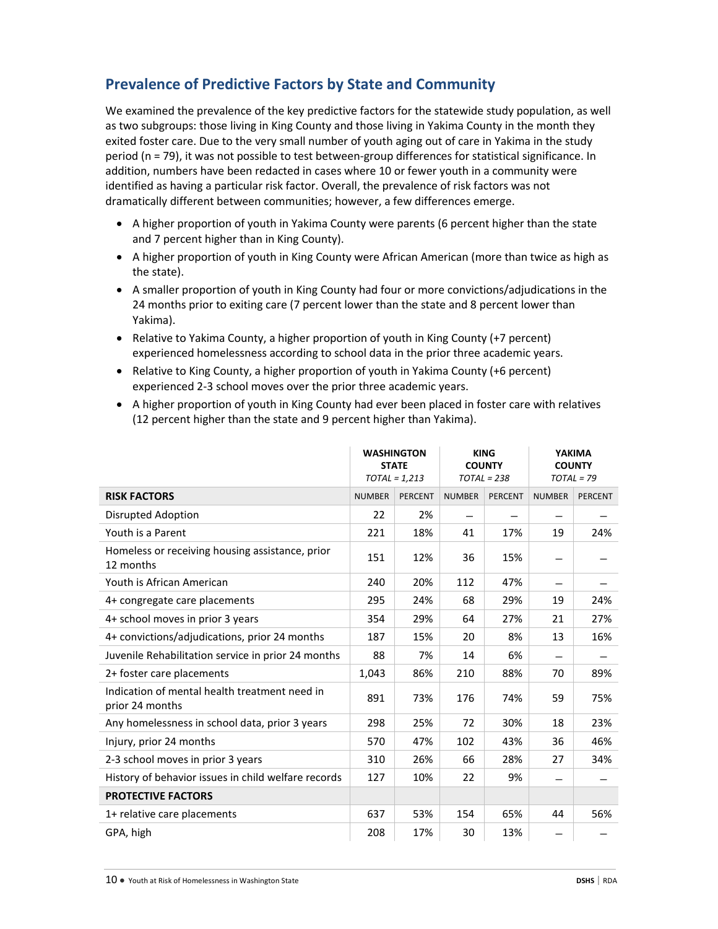## **Prevalence of Predictive Factors by State and Community**

We examined the prevalence of the key predictive factors for the statewide study population, as well as two subgroups: those living in King County and those living in Yakima County in the month they exited foster care. Due to the very small number of youth aging out of care in Yakima in the study period (n = 79), it was not possible to test between-group differences for statistical significance. In addition, numbers have been redacted in cases where 10 or fewer youth in a community were identified as having a particular risk factor. Overall, the prevalence of risk factors was not dramatically different between communities; however, a few differences emerge.

- A higher proportion of youth in Yakima County were parents (6 percent higher than the state and 7 percent higher than in King County).
- A higher proportion of youth in King County were African American (more than twice as high as the state).
- A smaller proportion of youth in King County had four or more convictions/adjudications in the 24 months prior to exiting care (7 percent lower than the state and 8 percent lower than Yakima).
- Relative to Yakima County, a higher proportion of youth in King County (+7 percent) experienced homelessness according to school data in the prior three academic years.
- Relative to King County, a higher proportion of youth in Yakima County (+6 percent) experienced 2-3 school moves over the prior three academic years.
- A higher proportion of youth in King County had ever been placed in foster care with relatives (12 percent higher than the state and 9 percent higher than Yakima).

|                                                                  | <b>WASHINGTON</b><br><b>STATE</b><br>$TOTAL = 1,213$ |         | <b>KING</b><br><b>COUNTY</b><br>$TOTAL = 238$ |                | <b>YAKIMA</b><br><b>COUNTY</b><br>$TOTAL = 79$ |                |
|------------------------------------------------------------------|------------------------------------------------------|---------|-----------------------------------------------|----------------|------------------------------------------------|----------------|
| <b>RISK FACTORS</b>                                              | <b>NUMBER</b>                                        | PERCENT | <b>NUMBER</b>                                 | <b>PERCENT</b> | <b>NUMBER</b>                                  | <b>PERCENT</b> |
| Disrupted Adoption                                               | 22                                                   | 2%      |                                               |                |                                                |                |
| Youth is a Parent                                                | 221                                                  | 18%     | 41                                            | 17%            | 19                                             | 24%            |
| Homeless or receiving housing assistance, prior<br>12 months     | 151                                                  | 12%     | 36                                            | 15%            |                                                |                |
| Youth is African American                                        | 240                                                  | 20%     | 112                                           | 47%            |                                                |                |
| 4+ congregate care placements                                    |                                                      | 24%     | 68                                            | 29%            | 19                                             | 24%            |
| 4+ school moves in prior 3 years                                 |                                                      | 29%     | 64                                            | 27%            | 21                                             | 27%            |
| 4+ convictions/adjudications, prior 24 months                    |                                                      | 15%     | 20                                            | 8%             | 13                                             | 16%            |
| Juvenile Rehabilitation service in prior 24 months               | 88                                                   | 7%      | 14                                            | 6%             |                                                |                |
| 2+ foster care placements                                        | 1,043                                                | 86%     | 210                                           | 88%            | 70                                             | 89%            |
| Indication of mental health treatment need in<br>prior 24 months |                                                      | 73%     | 176                                           | 74%            | 59                                             | 75%            |
| Any homelessness in school data, prior 3 years                   | 298                                                  | 25%     | 72                                            | 30%            | 18                                             | 23%            |
| Injury, prior 24 months                                          | 570                                                  | 47%     | 102                                           | 43%            | 36                                             | 46%            |
| 2-3 school moves in prior 3 years                                | 310                                                  | 26%     | 66                                            | 28%            | 27                                             | 34%            |
| History of behavior issues in child welfare records              | 127                                                  | 10%     | 22                                            | 9%             |                                                |                |
| <b>PROTECTIVE FACTORS</b>                                        |                                                      |         |                                               |                |                                                |                |
| 1+ relative care placements                                      | 637                                                  | 53%     | 154                                           | 65%            | 44                                             | 56%            |
| GPA, high                                                        | 208                                                  | 17%     | 30                                            | 13%            |                                                |                |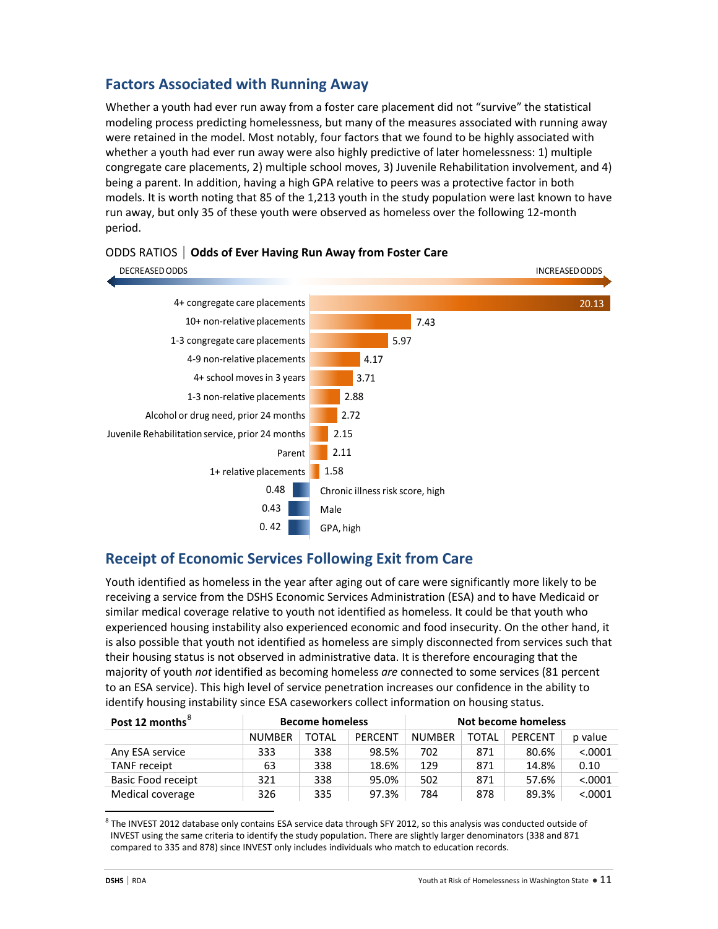## **Factors Associated with Running Away**

Whether a youth had ever run away from a foster care placement did not "survive" the statistical modeling process predicting homelessness, but many of the measures associated with running away were retained in the model. Most notably, four factors that we found to be highly associated with whether a youth had ever run away were also highly predictive of later homelessness: 1) multiple congregate care placements, 2) multiple school moves, 3) Juvenile Rehabilitation involvement, and 4) being a parent. In addition, having a high GPA relative to peers was a protective factor in both models. It is worth noting that 85 of the 1,213 youth in the study population were last known to have run away, but only 35 of these youth were observed as homeless over the following 12-month period.



### ODDS RATIOS | **Odds of Ever Having Run Away from Foster Care**

## **Receipt of Economic Services Following Exit from Care**

Youth identified as homeless in the year after aging out of care were significantly more likely to be receiving a service from the DSHS Economic Services Administration (ESA) and to have Medicaid or similar medical coverage relative to youth not identified as homeless. It could be that youth who experienced housing instability also experienced economic and food insecurity. On the other hand, it is also possible that youth not identified as homeless are simply disconnected from services such that their housing status is not observed in administrative data. It is therefore encouraging that the majority of youth *not* identified as becoming homeless *are* connected to some services (81 percent to an ESA service). This high level of service penetration increases our confidence in the ability to identify housing instability since ESA caseworkers collect information on housing status.

| Post 12 months <sup>°</sup> | <b>Become homeless</b> |       |                | Not become homeless |              |         |          |
|-----------------------------|------------------------|-------|----------------|---------------------|--------------|---------|----------|
|                             | <b>NUMBER</b>          | TOTAL | <b>PERCENT</b> | <b>NUMBER</b>       | <b>TOTAL</b> | PERCENT | p value  |
| Any ESA service             | 333                    | 338   | 98.5%          | 702                 | 871          | 80.6%   | < 0.0001 |
| TANF receipt                | 63                     | 338   | 18.6%          | 129                 | 871          | 14.8%   | 0.10     |
| Basic Food receipt          | 321                    | 338   | 95.0%          | 502                 | 871          | 57.6%   | < 0.0001 |
| Medical coverage            | 326                    | 335   | 97.3%          | 784                 | 878          | 89.3%   | < 0.0001 |

<span id="page-10-0"></span> $8$  The INVEST 2012 database only contains ESA service data through SFY 2012, so this analysis was conducted outside of INVEST using the same criteria to identify the study population. There are slightly larger denominators (338 and 871 compared to 335 and 878) since INVEST only includes individuals who match to education records.

 $\overline{\phantom{a}}$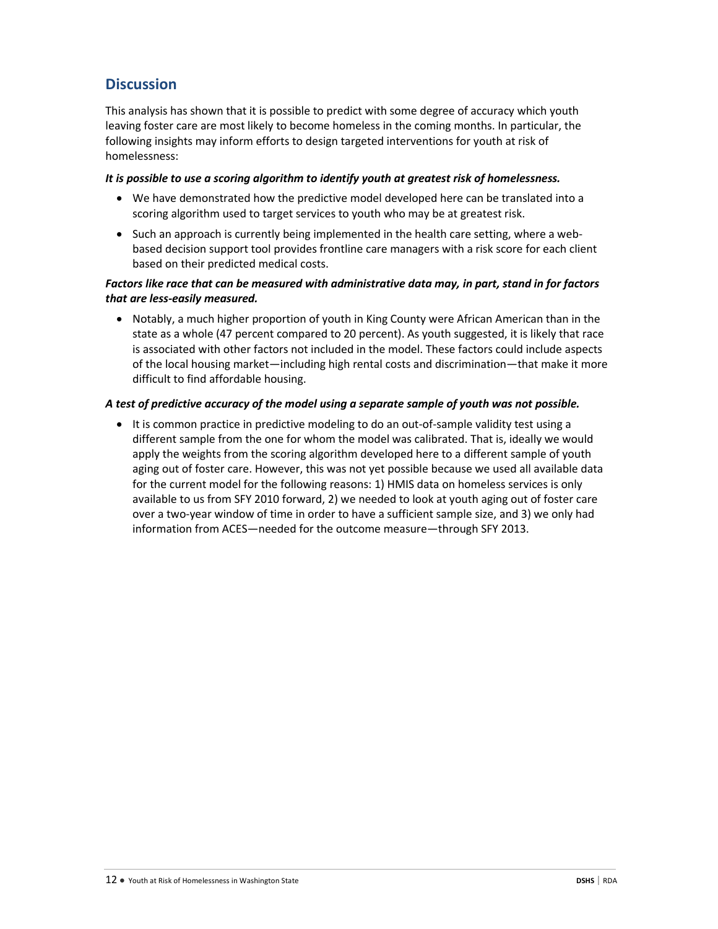## **Discussion**

This analysis has shown that it is possible to predict with some degree of accuracy which youth leaving foster care are most likely to become homeless in the coming months. In particular, the following insights may inform efforts to design targeted interventions for youth at risk of homelessness:

### *It is possible to use a scoring algorithm to identify youth at greatest risk of homelessness.*

- We have demonstrated how the predictive model developed here can be translated into a scoring algorithm used to target services to youth who may be at greatest risk.
- Such an approach is currently being implemented in the health care setting, where a webbased decision support tool provides frontline care managers with a risk score for each client based on their predicted medical costs.

### *Factors like race that can be measured with administrative data may, in part, stand in for factors that are less-easily measured.*

• Notably, a much higher proportion of youth in King County were African American than in the state as a whole (47 percent compared to 20 percent). As youth suggested, it is likely that race is associated with other factors not included in the model. These factors could include aspects of the local housing market—including high rental costs and discrimination—that make it more difficult to find affordable housing.

### *A test of predictive accuracy of the model using a separate sample of youth was not possible.*

• It is common practice in predictive modeling to do an out-of-sample validity test using a different sample from the one for whom the model was calibrated. That is, ideally we would apply the weights from the scoring algorithm developed here to a different sample of youth aging out of foster care. However, this was not yet possible because we used all available data for the current model for the following reasons: 1) HMIS data on homeless services is only available to us from SFY 2010 forward, 2) we needed to look at youth aging out of foster care over a two-year window of time in order to have a sufficient sample size, and 3) we only had information from ACES—needed for the outcome measure—through SFY 2013.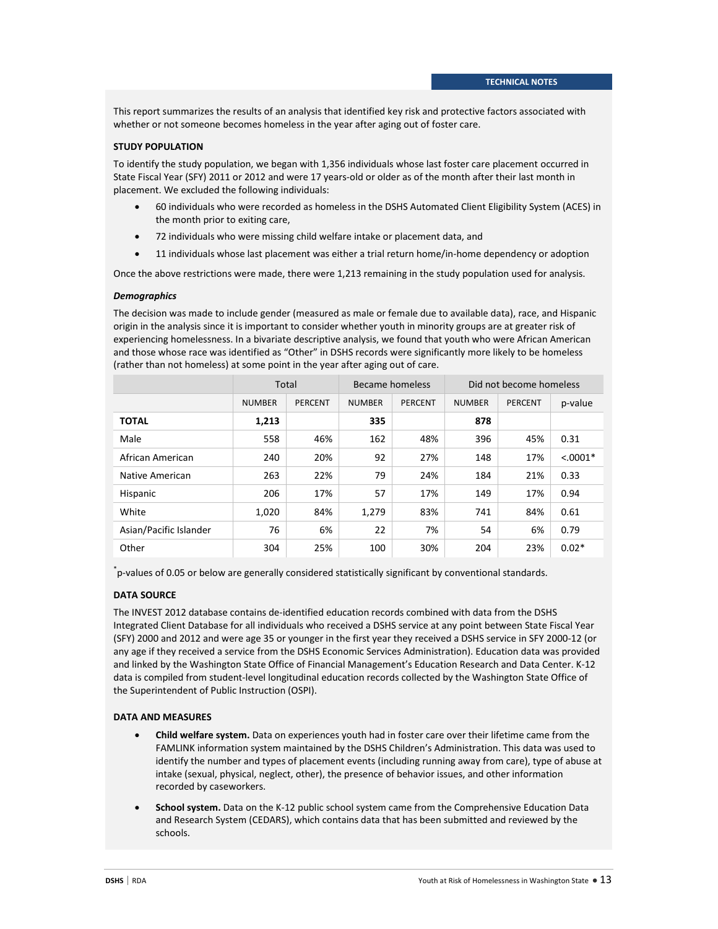This report summarizes the results of an analysis that identified key risk and protective factors associated with whether or not someone becomes homeless in the year after aging out of foster care.

#### **STUDY POPULATION**

To identify the study population, we began with 1,356 individuals whose last foster care placement occurred in State Fiscal Year (SFY) 2011 or 2012 and were 17 years-old or older as of the month after their last month in placement. We excluded the following individuals:

- 60 individuals who were recorded as homeless in the DSHS Automated Client Eligibility System (ACES) in the month prior to exiting care,
- 72 individuals who were missing child welfare intake or placement data, and
- 11 individuals whose last placement was either a trial return home/in-home dependency or adoption

Once the above restrictions were made, there were 1,213 remaining in the study population used for analysis.

#### *Demographics*

The decision was made to include gender (measured as male or female due to available data), race, and Hispanic origin in the analysis since it is important to consider whether youth in minority groups are at greater risk of experiencing homelessness. In a bivariate descriptive analysis, we found that youth who were African American and those whose race was identified as "Other" in DSHS records were significantly more likely to be homeless (rather than not homeless) at some point in the year after aging out of care.

|                        | <b>Total</b>  |                | Became homeless |                | Did not become homeless |         |             |
|------------------------|---------------|----------------|-----------------|----------------|-------------------------|---------|-------------|
|                        | <b>NUMBER</b> | <b>PERCENT</b> | <b>NUMBER</b>   | <b>PERCENT</b> | <b>NUMBER</b>           | PERCENT | p-value     |
| <b>TOTAL</b>           | 1,213         |                | 335             |                | 878                     |         |             |
| Male                   | 558           | 46%            | 162             | 48%            | 396                     | 45%     | 0.31        |
| African American       | 240           | 20%            | 92              | 27%            | 148                     | 17%     | $< 0.0001*$ |
| Native American        | 263           | 22%            | 79              | 24%            | 184                     | 21%     | 0.33        |
| Hispanic               | 206           | 17%            | 57              | 17%            | 149                     | 17%     | 0.94        |
| White                  | 1,020         | 84%            | 1,279           | 83%            | 741                     | 84%     | 0.61        |
| Asian/Pacific Islander | 76            | 6%             | 22              | 7%             | 54                      | 6%      | 0.79        |
| Other                  | 304           | 25%            | 100             | 30%            | 204                     | 23%     | $0.02*$     |

\* p-values of 0.05 or below are generally considered statistically significant by conventional standards.

#### **DATA SOURCE**

The INVEST 2012 database contains de-identified education records combined with data from the DSHS Integrated Client Database for all individuals who received a DSHS service at any point between State Fiscal Year (SFY) 2000 and 2012 and were age 35 or younger in the first year they received a DSHS service in SFY 2000-12 (or any age if they received a service from the DSHS Economic Services Administration). Education data was provided and linked by the Washington State Office of Financial Management's Education Research and Data Center. K-12 data is compiled from student-level longitudinal education records collected by the Washington State Office of the Superintendent of Public Instruction (OSPI).

#### **DATA AND MEASURES**

- **Child welfare system.** Data on experiences youth had in foster care over their lifetime came from the FAMLINK information system maintained by the DSHS Children's Administration. This data was used to identify the number and types of placement events (including running away from care), type of abuse at intake (sexual, physical, neglect, other), the presence of behavior issues, and other information recorded by caseworkers.
- **School system.** Data on the K-12 public school system came from the Comprehensive Education Data and Research System (CEDARS), which contains data that has been submitted and reviewed by the schools.